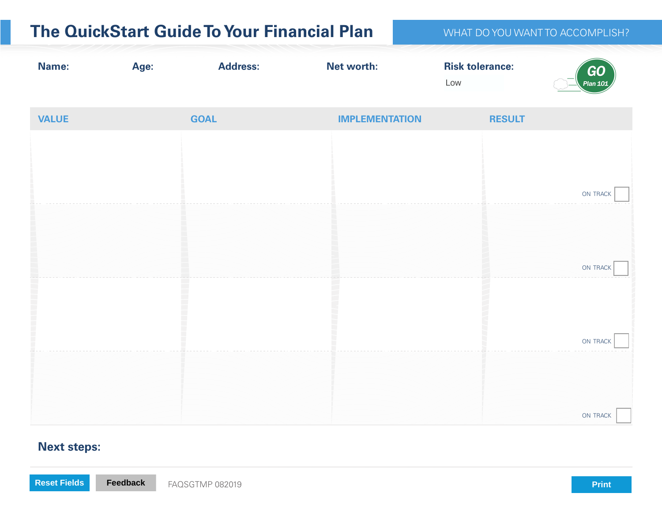| <b>The QuickStart Guide To Your Financial Plan</b> |             | WHAT DO YOU WANT TO ACCOMPLISH? |                       |                               |                       |
|----------------------------------------------------|-------------|---------------------------------|-----------------------|-------------------------------|-----------------------|
| <b>Name:</b>                                       | Age:        | <b>Address:</b>                 | Net worth:            | <b>Risk tolerance:</b><br>Low | <b>GO</b><br>Plan 101 |
| <b>VALUE</b>                                       | <b>GOAL</b> |                                 | <b>IMPLEMENTATION</b> | <b>RESULT</b>                 |                       |
|                                                    |             |                                 |                       |                               |                       |
|                                                    |             |                                 |                       |                               | ON TRACK              |
|                                                    |             |                                 |                       |                               |                       |
|                                                    |             |                                 |                       |                               | ON TRACK              |
|                                                    |             |                                 |                       |                               |                       |
|                                                    |             |                                 |                       |                               | ON TRACK              |
|                                                    |             |                                 |                       |                               |                       |
|                                                    |             |                                 |                       |                               | ON TRACK              |

## **Next steps:**